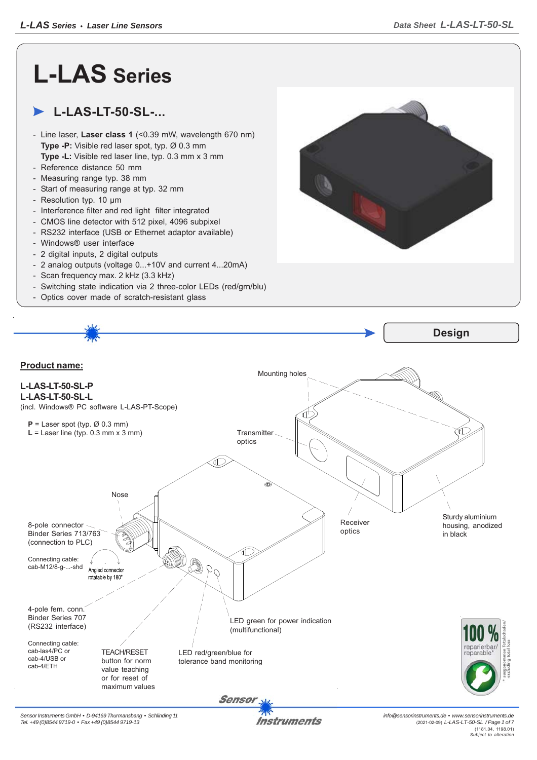## **L-LAS Series**

## **L-LAS-LT-50-SL-...**

- Line laser, **Laser class 1** (<0.39 mW, wavelength 670 nm) **Type -P:** Visible red laser spot, typ. Ø 0.3 mm **Type -L:** Visible red laser line, typ. 0.3 mm x 3 mm
- Reference distance 50 mm
- Measuring range typ. 38 mm
- Start of measuring range at typ. 32 mm
- Resolution typ. 10 μm
- Interference filter and red light filter integrated
- CMOS line detector with 512 pixel, 4096 subpixel
- RS232 interface (USB or Ethernet adaptor available)
- Windows® user interface
- 2 digital inputs, 2 digital outputs
- 2 analog outputs (voltage 0...+10V and current 4...20mA)
- Scan frequency max. 2 kHz (3.3 kHz)
- Switching state indication via 2 three-color LEDs (red/grn/blu)
- Optics cover made of scratch-resistant glass







*info@sensorinstruments.de • www.sensorinstruments.de* (2021-02-09) *L-LAS-LT-50-SL / Page 1 of 7* (1181.04, 1198.01) *Subject to alteration*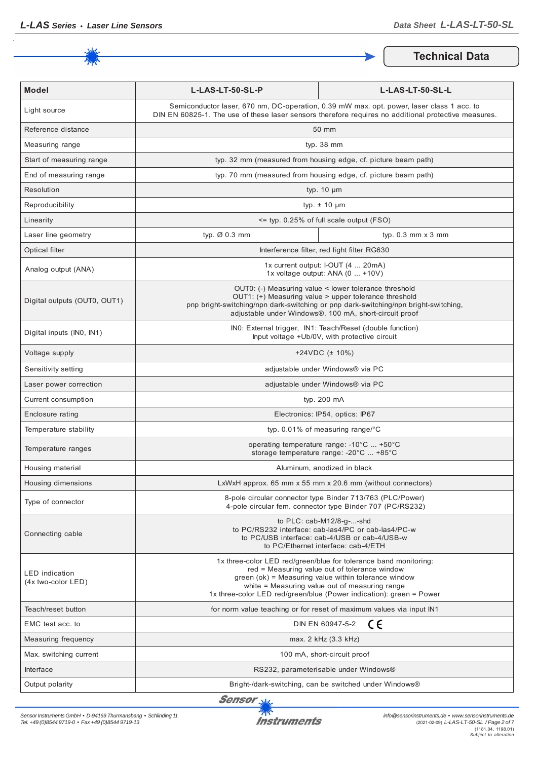

**Technical Data**

| <b>Model</b>                                | L-LAS-LT-50-SL-P                                                                                                                                                                                                                                                                                   | L-LAS-LT-50-SL-L                                                                                                                                                          |
|---------------------------------------------|----------------------------------------------------------------------------------------------------------------------------------------------------------------------------------------------------------------------------------------------------------------------------------------------------|---------------------------------------------------------------------------------------------------------------------------------------------------------------------------|
| Light source                                | Semiconductor laser, 670 nm, DC-operation, 0.39 mW max. opt. power, laser class 1 acc. to<br>DIN EN 60825-1. The use of these laser sensors therefore requires no additional protective measures.                                                                                                  |                                                                                                                                                                           |
| Reference distance                          | 50 mm                                                                                                                                                                                                                                                                                              |                                                                                                                                                                           |
| Measuring range                             | typ. 38 mm                                                                                                                                                                                                                                                                                         |                                                                                                                                                                           |
| Start of measuring range                    | typ. 32 mm (measured from housing edge, cf. picture beam path)                                                                                                                                                                                                                                     |                                                                                                                                                                           |
| End of measuring range                      | typ. 70 mm (measured from housing edge, cf. picture beam path)                                                                                                                                                                                                                                     |                                                                                                                                                                           |
| Resolution                                  | typ. $10 \mu m$                                                                                                                                                                                                                                                                                    |                                                                                                                                                                           |
| Reproducibility                             | typ. $\pm$ 10 $\mu$ m                                                                                                                                                                                                                                                                              |                                                                                                                                                                           |
| Linearity                                   | <= typ. 0.25% of full scale output (FSO)                                                                                                                                                                                                                                                           |                                                                                                                                                                           |
| Laser line geometry                         | typ. Ø 0.3 mm                                                                                                                                                                                                                                                                                      | typ. $0.3$ mm $\times$ 3 mm                                                                                                                                               |
| Optical filter                              |                                                                                                                                                                                                                                                                                                    | Interference filter, red light filter RG630                                                                                                                               |
| Analog output (ANA)                         | 1x current output: I-OUT (4  20mA)<br>1x voltage output: ANA (0  +10V)                                                                                                                                                                                                                             |                                                                                                                                                                           |
| Digital outputs (OUT0, OUT1)                | OUT0: (-) Measuring value < lower tolerance threshold<br>OUT1: (+) Measuring value > upper tolerance threshold<br>pnp bright-switching/npn dark-switching or pnp dark-switching/npn bright-switching,<br>adjustable under Windows®, 100 mA, short-circuit proof                                    |                                                                                                                                                                           |
| Digital inputs (INO, IN1)                   | INO: External trigger, IN1: Teach/Reset (double function)<br>Input voltage +Ub/0V, with protective circuit                                                                                                                                                                                         |                                                                                                                                                                           |
| Voltage supply                              | $+24VDC$ ( $\pm$ 10%)                                                                                                                                                                                                                                                                              |                                                                                                                                                                           |
| Sensitivity setting                         | adjustable under Windows® via PC                                                                                                                                                                                                                                                                   |                                                                                                                                                                           |
| Laser power correction                      | adjustable under Windows® via PC                                                                                                                                                                                                                                                                   |                                                                                                                                                                           |
| Current consumption                         | typ. 200 mA                                                                                                                                                                                                                                                                                        |                                                                                                                                                                           |
| Enclosure rating                            | Electronics: IP54, optics: IP67                                                                                                                                                                                                                                                                    |                                                                                                                                                                           |
| Temperature stability                       | typ. $0.01\%$ of measuring range/°C                                                                                                                                                                                                                                                                |                                                                                                                                                                           |
| Temperature ranges                          | operating temperature range: -10°C  +50°C<br>storage temperature range: -20°C  +85°C                                                                                                                                                                                                               |                                                                                                                                                                           |
| Housing material                            | Aluminum, anodized in black                                                                                                                                                                                                                                                                        |                                                                                                                                                                           |
| Housing dimensions                          | LxWxH approx. 65 mm x 55 mm x 20.6 mm (without connectors)                                                                                                                                                                                                                                         |                                                                                                                                                                           |
| Type of connector                           |                                                                                                                                                                                                                                                                                                    | 8-pole circular connector type Binder 713/763 (PLC/Power)<br>4-pole circular fem. connector type Binder 707 (PC/RS232)                                                    |
| Connecting cable                            |                                                                                                                                                                                                                                                                                                    | to $PLC: cab-M12/8-g--shd$<br>to PC/RS232 interface: cab-las4/PC or cab-las4/PC-w<br>to PC/USB interface: cab-4/USB or cab-4/USB-w<br>to PC/Ethernet interface: cab-4/ETH |
| <b>LED</b> indication<br>(4x two-color LED) | 1x three-color LED red/green/blue for tolerance band monitoring:<br>red = Measuring value out of tolerance window<br>green (ok) = Measuring value within tolerance window<br>white = Measuring value out of measuring range<br>1x three-color LED red/green/blue (Power indication): green = Power |                                                                                                                                                                           |
| Teach/reset button                          |                                                                                                                                                                                                                                                                                                    | for norm value teaching or for reset of maximum values via input IN1                                                                                                      |
| EMC test acc. to                            |                                                                                                                                                                                                                                                                                                    | ce<br>DIN EN 60947-5-2                                                                                                                                                    |
| Measuring frequency                         | max. 2 kHz (3.3 kHz)                                                                                                                                                                                                                                                                               |                                                                                                                                                                           |
| Max. switching current                      | 100 mA, short-circuit proof                                                                                                                                                                                                                                                                        |                                                                                                                                                                           |
| Interface                                   | RS232, parameterisable under Windows®                                                                                                                                                                                                                                                              |                                                                                                                                                                           |
| Output polarity                             |                                                                                                                                                                                                                                                                                                    | Bright-/dark-switching, can be switched under Windows®                                                                                                                    |

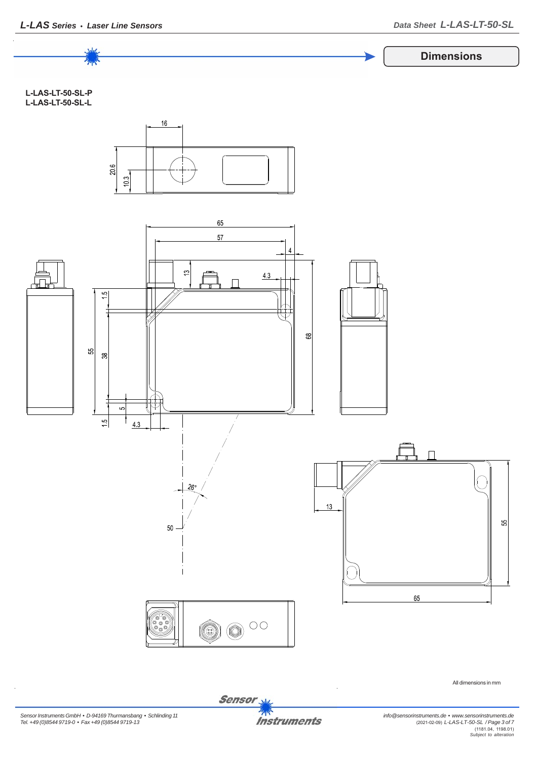

*Sensor Instruments GmbH • D-94169 Thurmansbang • Schlinding 11 Tel. +49 (0)8544 9719-0 • Fax +49 (0)8544 9719-13*

**Instruments**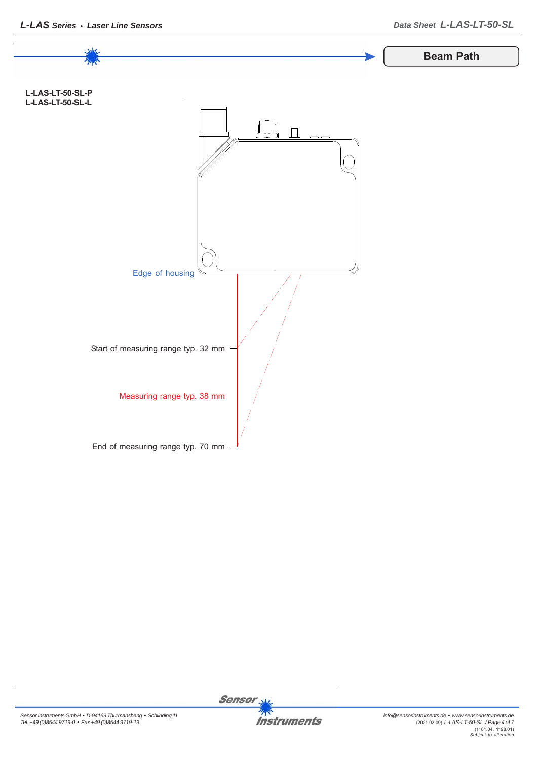

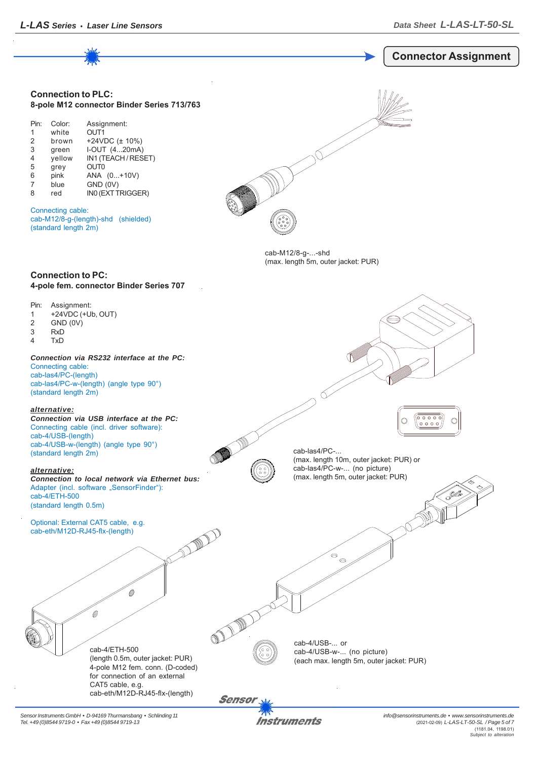

*Sensor Instruments GmbH • D-94169 Thurmansbang • Schlinding 11 Tel. +49 (0)8544 9719-0 • Fax +49 (0)8544 9719-13*

Instruments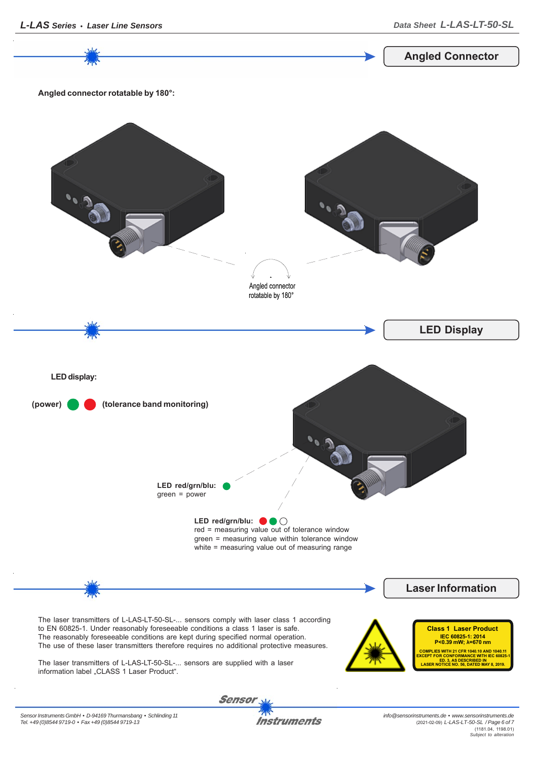*info@sensorinstruments.de • www.sensorinstruments.de* (2021-02-09) *L-LAS-LT-50-SL / Page 6 of 7* (1181.04, 1198.01) *Subject to alteration*



**Instruments**